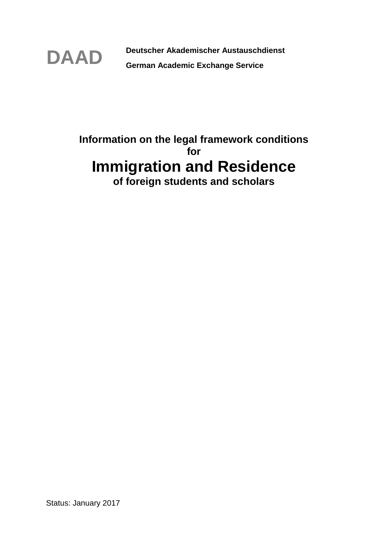

**DAAD Deutscher Akademischer Austauschdienst German Academic Exchange Service** 

# **Information on the legal framework conditions for Immigration and Residence of foreign students and scholars**

Status: January 2017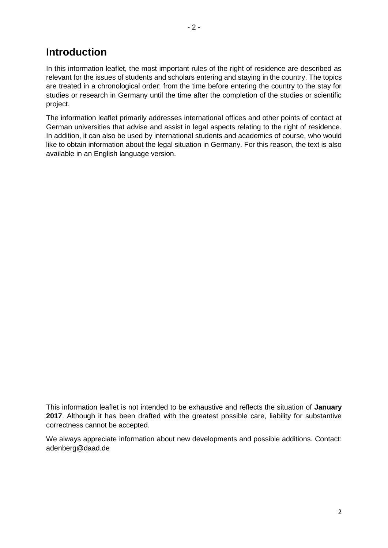## **Introduction**

In this information leaflet, the most important rules of the right of residence are described as relevant for the issues of students and scholars entering and staying in the country. The topics are treated in a chronological order: from the time before entering the country to the stay for studies or research in Germany until the time after the completion of the studies or scientific project.

The information leaflet primarily addresses international offices and other points of contact at German universities that advise and assist in legal aspects relating to the right of residence. In addition, it can also be used by international students and academics of course, who would like to obtain information about the legal situation in Germany. For this reason, the text is also available in an English language version.

This information leaflet is not intended to be exhaustive and reflects the situation of **January 2017**. Although it has been drafted with the greatest possible care, liability for substantive correctness cannot be accepted.

We always appreciate information about new developments and possible additions. Contact: adenberg@daad.de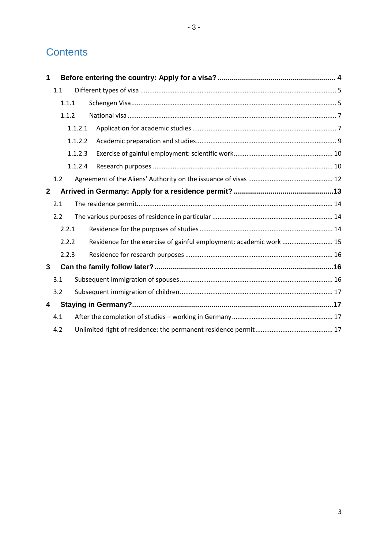# **Contents**

| 1            |       |         |                                                                     |  |  |
|--------------|-------|---------|---------------------------------------------------------------------|--|--|
|              | 1.1   |         |                                                                     |  |  |
|              |       | 1.1.1   |                                                                     |  |  |
|              |       | 1.1.2   |                                                                     |  |  |
|              |       | 1.1.2.1 |                                                                     |  |  |
|              |       | 1.1.2.2 |                                                                     |  |  |
|              |       | 1.1.2.3 |                                                                     |  |  |
|              |       | 1.1.2.4 |                                                                     |  |  |
|              | 1.2   |         |                                                                     |  |  |
| $\mathbf{2}$ |       |         |                                                                     |  |  |
|              | 2.1   |         |                                                                     |  |  |
|              | 2.2   |         |                                                                     |  |  |
|              | 2.2.1 |         |                                                                     |  |  |
|              |       | 2.2.2   | Residence for the exercise of gainful employment: academic work  15 |  |  |
|              |       | 2.2.3   |                                                                     |  |  |
| 3            |       |         |                                                                     |  |  |
|              | 3.1   |         |                                                                     |  |  |
|              | 3.2   |         |                                                                     |  |  |
| 4            |       |         |                                                                     |  |  |
|              | 4.1   |         |                                                                     |  |  |
|              | 4.2   |         |                                                                     |  |  |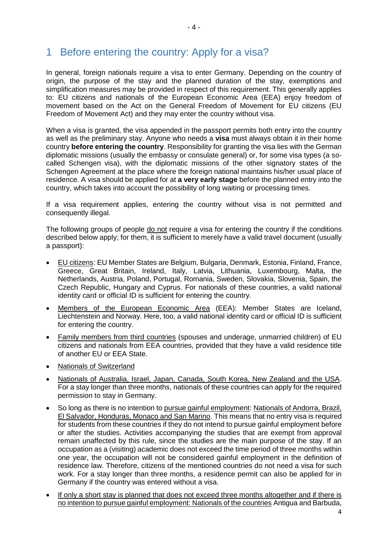# <span id="page-3-0"></span>1 Before entering the country: Apply for a visa?

In general, foreign nationals require a visa to enter Germany. Depending on the country of origin, the purpose of the stay and the planned duration of the stay, exemptions and simplification measures may be provided in respect of this requirement. This generally applies to: EU citizens and nationals of the European Economic Area (EEA) enjoy freedom of movement based on the Act on the General Freedom of Movement for EU citizens (EU Freedom of Movement Act) and they may enter the country without visa.

When a visa is granted, the visa appended in the passport permits both entry into the country as well as the preliminary stay. Anyone who needs a **visa** must always obtain it in their home country **before entering the country**. Responsibility for granting the visa lies with the German diplomatic missions (usually the embassy or consulate general) or, for some visa types (a socalled Schengen visa), with the diplomatic missions of the other signatory states of the Schengen Agreement at the place where the foreign national maintains his/her usual place of residence*.* A visa should be applied for at **a very early stage** before the planned entry into the country, which takes into account the possibility of long waiting or processing times.

If a visa requirement applies, entering the country without visa is not permitted and consequently illegal.

The following groups of people do not require a visa for entering the country if the conditions described below apply; for them, it is sufficient to merely have a valid travel document (usually a passport):

- EU citizens: EU Member States are Belgium, Bulgaria, Denmark, Estonia, Finland, France, Greece, Great Britain, Ireland, Italy, Latvia, Lithuania, Luxembourg, Malta, the Netherlands, Austria, Poland, Portugal, Romania, Sweden, Slovakia, Slovenia, Spain, the Czech Republic, Hungary and Cyprus. For nationals of these countries, a valid national identity card or official ID is sufficient for entering the country.
- Members of the European Economic Area (EEA): Member States are Iceland, Liechtenstein and Norway. Here, too, a valid national identity card or official ID is sufficient for entering the country.
- Family members from third countries (spouses and underage, unmarried children) of EU citizens and nationals from EEA countries, provided that they have a valid residence title of another EU or EEA State.
- Nationals of Switzerland
- Nationals of Australia, Israel, Japan, Canada, South Korea, New Zealand and the USA. For a stay longer than three months, nationals of these countries can apply for the required permission to stay in Germany.
- So long as there is no intention to pursue gainful employment: Nationals of Andorra, Brazil, El Salvador, Honduras, Monaco and San Marino. This means that no entry visa is required for students from these countries if they do not intend to pursue gainful employment before or after the studies. Activities accompanying the studies that are exempt from approval remain unaffected by this rule, since the studies are the main purpose of the stay. If an occupation as a (visiting) academic does not exceed the time period of three months within one year, the occupation will not be considered gainful employment in the definition of residence law. Therefore, citizens of the mentioned countries do not need a visa for such work. For a stay longer than three months, a residence permit can also be applied for in Germany if the country was entered without a visa.
- If only a short stay is planned that does not exceed three months altogether and if there is no intention to pursue gainful employment: Nationals of the countries Antigua and Barbuda,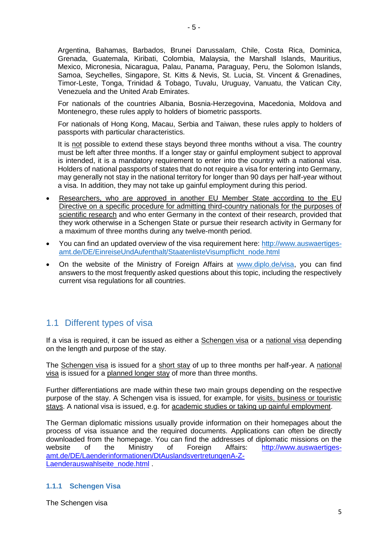Argentina, Bahamas, Barbados, Brunei Darussalam, Chile, Costa Rica, Dominica, Grenada, Guatemala, Kiribati, Colombia, Malaysia, the Marshall Islands, Mauritius, Mexico, Micronesia, Nicaragua, Palau, Panama, Paraguay, Peru, the Solomon Islands, Samoa, Seychelles, Singapore, St. Kitts & Nevis, St. Lucia, St. Vincent & Grenadines, Timor-Leste, Tonga, Trinidad & Tobago, Tuvalu, Uruguay, Vanuatu, the Vatican City, Venezuela and the United Arab Emirates.

For nationals of the countries Albania, Bosnia-Herzegovina, Macedonia, Moldova and Montenegro, these rules apply to holders of biometric passports.

For nationals of Hong Kong, Macau, Serbia and Taiwan, these rules apply to holders of passports with particular characteristics.

It is not possible to extend these stays beyond three months without a visa. The country must be left after three months. If a longer stay or gainful employment subject to approval is intended, it is a mandatory requirement to enter into the country with a national visa. Holders of national passports of states that do not require a visa for entering into Germany, may generally not stay in the national territory for longer than 90 days per half-year without a visa. In addition, they may not take up gainful employment during this period.

- Researchers, who are approved in another EU Member State according to the EU Directive on a specific procedure for admitting third-country nationals for the purposes of scientific research and who enter Germany in the context of their research, provided that they work otherwise in a Schengen State or pursue their research activity in Germany for a maximum of three months during any twelve-month period.
- You can find an updated overview of the visa requirement here: [http://www.auswaertiges](http://www.auswaertiges-amt.de/DE/EinreiseUndAufenthalt/StaatenlisteVisumpflicht_node.html)[amt.de/DE/EinreiseUndAufenthalt/StaatenlisteVisumpflicht\\_node.html](http://www.auswaertiges-amt.de/DE/EinreiseUndAufenthalt/StaatenlisteVisumpflicht_node.html)
- On the website of the Ministry of Foreign Affairs at [www.diplo.de/visa,](http://www.diplo.de/visa) you can find answers to the most frequently asked questions about this topic, including the respectively current visa regulations for all countries.

## <span id="page-4-0"></span>1.1 Different types of visa

If a visa is required, it can be issued as either a Schengen visa or a national visa depending on the length and purpose of the stay.

The Schengen visa is issued for a short stay of up to three months per half-year. A national visa is issued for a planned longer stay of more than three months.

Further differentiations are made within these two main groups depending on the respective purpose of the stay. A Schengen visa is issued, for example, for visits, business or touristic stays. A national visa is issued, e.g. for academic studies or taking up gainful employment.

The German diplomatic missions usually provide information on their homepages about the process of visa issuance and the required documents. Applications can often be directly downloaded from the homepage. You can find the addresses of diplomatic missions on the website of the Ministry of Foreign Affairs: [http://www.auswaertiges](http://www.auswaertiges-amt.de/DE/Laenderinformationen/DtAuslandsvertretungenA-Z-Laenderauswahlseite_node.html)[amt.de/DE/Laenderinformationen/DtAuslandsvertretungenA-Z-](http://www.auswaertiges-amt.de/DE/Laenderinformationen/DtAuslandsvertretungenA-Z-Laenderauswahlseite_node.html)[Laenderauswahlseite\\_node.html](http://www.auswaertiges-amt.de/DE/Laenderinformationen/DtAuslandsvertretungenA-Z-Laenderauswahlseite_node.html)

## <span id="page-4-1"></span>**1.1.1 Schengen Visa**

The Schengen visa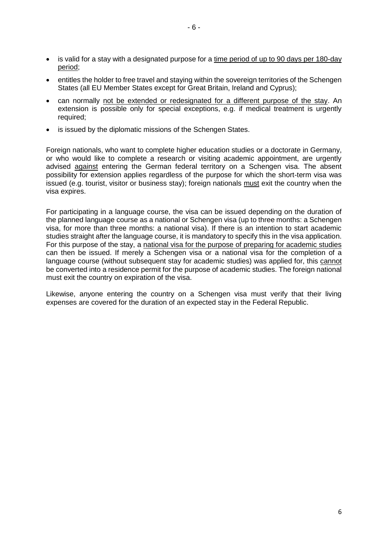- is valid for a stay with a designated purpose for a time period of up to 90 days per 180-day period;
- entitles the holder to free travel and staying within the sovereign territories of the Schengen States (all EU Member States except for Great Britain, Ireland and Cyprus);
- can normally not be extended or redesignated for a different purpose of the stay. An extension is possible only for special exceptions, e.g. if medical treatment is urgently required;
- is issued by the diplomatic missions of the Schengen States.

Foreign nationals, who want to complete higher education studies or a doctorate in Germany, or who would like to complete a research or visiting academic appointment, are urgently advised against entering the German federal territory on a Schengen visa. The absent possibility for extension applies regardless of the purpose for which the short-term visa was issued (e.g. tourist, visitor or business stay); foreign nationals must exit the country when the visa expires.

For participating in a language course, the visa can be issued depending on the duration of the planned language course as a national or Schengen visa (up to three months: a Schengen visa, for more than three months: a national visa). If there is an intention to start academic studies straight after the language course, it is mandatory to specify this in the visa application. For this purpose of the stay, a national visa for the purpose of preparing for academic studies can then be issued. If merely a Schengen visa or a national visa for the completion of a language course (without subsequent stay for academic studies) was applied for, this cannot be converted into a residence permit for the purpose of academic studies. The foreign national must exit the country on expiration of the visa.

Likewise, anyone entering the country on a Schengen visa must verify that their living expenses are covered for the duration of an expected stay in the Federal Republic.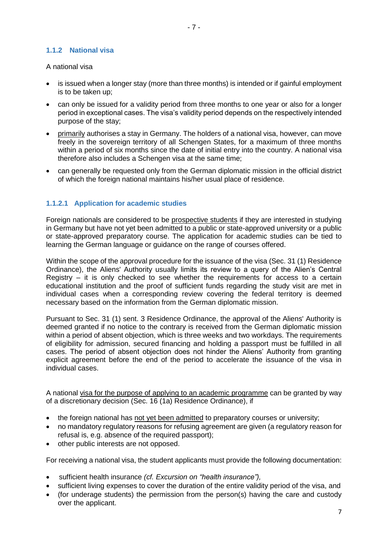### <span id="page-6-0"></span>**1.1.2 National visa**

#### A national visa

- is issued when a longer stay (more than three months) is intended or if gainful employment is to be taken up;
- can only be issued for a validity period from three months to one year or also for a longer period in exceptional cases. The visa's validity period depends on the respectively intended purpose of the stay;
- primarily authorises a stay in Germany. The holders of a national visa, however, can move freely in the sovereign territory of all Schengen States, for a maximum of three months within a period of six months since the date of initial entry into the country. A national visa therefore also includes a Schengen visa at the same time;
- can generally be requested only from the German diplomatic mission in the official district of which the foreign national maintains his/her usual place of residence.

### <span id="page-6-1"></span>**1.1.2.1 Application for academic studies**

Foreign nationals are considered to be prospective students if they are interested in studying in Germany but have not yet been admitted to a public or state-approved university or a public or state-approved preparatory course. The application for academic studies can be tied to learning the German language or guidance on the range of courses offered.

Within the scope of the approval procedure for the issuance of the visa (Sec. 31 (1) Residence Ordinance), the Aliens' Authority usually limits its review to a query of the Alien's Central Registry – it is only checked to see whether the requirements for access to a certain educational institution and the proof of sufficient funds regarding the study visit are met in individual cases when a corresponding review covering the federal territory is deemed necessary based on the information from the German diplomatic mission.

Pursuant to Sec. 31 (1) sent. 3 Residence Ordinance, the approval of the Aliens' Authority is deemed granted if no notice to the contrary is received from the German diplomatic mission within a period of absent objection, which is three weeks and two workdays. The requirements of eligibility for admission, secured financing and holding a passport must be fulfilled in all cases. The period of absent objection does not hinder the Aliens' Authority from granting explicit agreement before the end of the period to accelerate the issuance of the visa in individual cases.

A national visa for the purpose of applying to an academic programme can be granted by way of a discretionary decision (Sec. 16 (1a) Residence Ordinance), if

- the foreign national has not yet been admitted to preparatory courses or university;
- no mandatory regulatory reasons for refusing agreement are given (a regulatory reason for refusal is, e.g. absence of the required passport);
- other public interests are not opposed.

For receiving a national visa, the student applicants must provide the following documentation:

- sufficient health insurance *(cf. Excursion on "health insurance"),*
- sufficient living expenses to cover the duration of the entire validity period of the visa, and
- (for underage students) the permission from the person(s) having the care and custody over the applicant.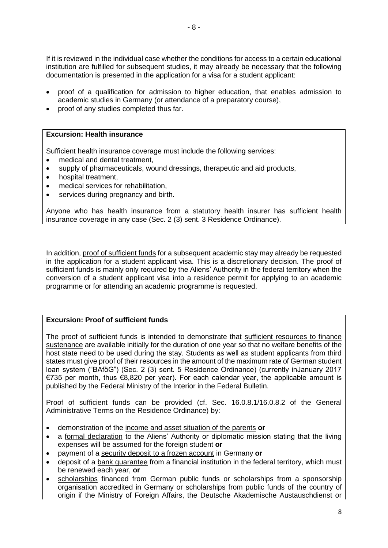- 8 -

If it is reviewed in the individual case whether the conditions for access to a certain educational institution are fulfilled for subsequent studies, it may already be necessary that the following documentation is presented in the application for a visa for a student applicant:

- proof of a qualification for admission to higher education, that enables admission to academic studies in Germany (or attendance of a preparatory course),
- proof of any studies completed thus far.

### **Excursion: Health insurance**

Sufficient health insurance coverage must include the following services:

- medical and dental treatment,
- supply of pharmaceuticals, wound dressings, therapeutic and aid products,
- hospital treatment,
- medical services for rehabilitation,
- **•** services during pregnancy and birth.

Anyone who has health insurance from a statutory health insurer has sufficient health insurance coverage in any case (Sec. 2 (3) sent. 3 Residence Ordinance).

In addition, proof of sufficient funds for a subsequent academic stay may already be requested in the application for a student applicant visa. This is a discretionary decision. The proof of sufficient funds is mainly only required by the Aliens' Authority in the federal territory when the conversion of a student applicant visa into a residence permit for applying to an academic programme or for attending an academic programme is requested.

### **Excursion: Proof of sufficient funds**

The proof of sufficient funds is intended to demonstrate that sufficient resources to finance sustenance are available initially for the duration of one year so that no welfare benefits of the host state need to be used during the stay. Students as well as student applicants from third states must give proof of their resources in the amount of the maximum rate of German student loan system ("BAföG") (Sec. 2 (3) sent. 5 Residence Ordinance) (currently inJanuary 2017 €735 per month, thus €8,820 per year). For each calendar year, the applicable amount is published by the Federal Ministry of the Interior in the Federal Bulletin.

Proof of sufficient funds can be provided (cf. Sec. 16.0.8.1/16.0.8.2 of the General Administrative Terms on the Residence Ordinance) by:

- demonstration of the income and asset situation of the parents **or**
- a formal declaration to the Aliens' Authority or diplomatic mission stating that the living expenses will be assumed for the foreign student **or**
- payment of a security deposit to a frozen account in Germany **or**
- deposit of a bank guarantee from a financial institution in the federal territory, which must be renewed each year, **or**
- scholarships financed from German public funds or scholarships from a sponsorship organisation accredited in Germany or scholarships from public funds of the country of origin if the Ministry of Foreign Affairs, the Deutsche Akademische Austauschdienst or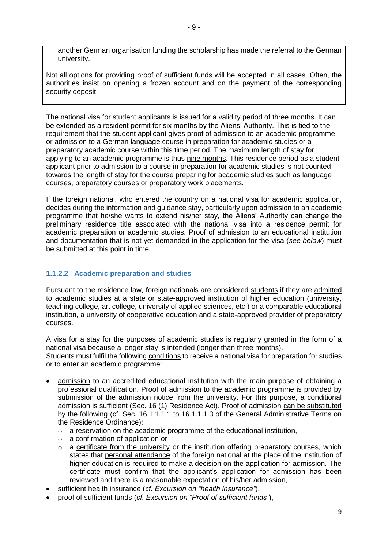another German organisation funding the scholarship has made the referral to the German university.

Not all options for providing proof of sufficient funds will be accepted in all cases. Often, the authorities insist on opening a frozen account and on the payment of the corresponding security deposit.

The national visa for student applicants is issued for a validity period of three months. It can be extended as a resident permit for six months by the Aliens' Authority. This is tied to the requirement that the student applicant gives proof of admission to an academic programme or admission to a German language course in preparation for academic studies or a preparatory academic course within this time period. The maximum length of stay for applying to an academic programme is thus nine months. This residence period as a student applicant prior to admission to a course in preparation for academic studies is not counted towards the length of stay for the course preparing for academic studies such as language courses, preparatory courses or preparatory work placements.

If the foreign national, who entered the country on a national visa for academic application, decides during the information and guidance stay, particularly upon admission to an academic programme that he/she wants to extend his/her stay, the Aliens' Authority can change the preliminary residence title associated with the national visa into a residence permit for academic preparation or academic studies. Proof of admission to an educational institution and documentation that is not yet demanded in the application for the visa (*see below*) must be submitted at this point in time*.*

## <span id="page-8-0"></span>**1.1.2.2 Academic preparation and studies**

Pursuant to the residence law, foreign nationals are considered students if they are admitted to academic studies at a state or state-approved institution of higher education (university, teaching college, art college, university of applied sciences, etc.) or a comparable educational institution, a university of cooperative education and a state-approved provider of preparatory courses.

A visa for a stay for the purposes of academic studies is regularly granted in the form of a national visa because a longer stay is intended (longer than three months). Students must fulfil the following conditions to receive a national visa for preparation for studies or to enter an academic programme:

- admission to an accredited educational institution with the main purpose of obtaining a professional qualification. Proof of admission to the academic programme is provided by submission of the admission notice from the university. For this purpose, a conditional admission is sufficient (Sec. 16 (1) Residence Act). Proof of admission can be substituted by the following (cf. Sec. 16.1.1.1.1 to 16.1.1.1.3 of the General Administrative Terms on the Residence Ordinance):
	- o a reservation on the academic programme of the educational institution,
	- o a confirmation of application or
	- o a certificate from the university or the institution offering preparatory courses, which states that personal attendance of the foreign national at the place of the institution of higher education is required to make a decision on the application for admission. The certificate must confirm that the applicant's application for admission has been reviewed and there is a reasonable expectation of his/her admission,
- sufficient health insurance (*cf. Excursion on "health insurance"*),
- proof of sufficient funds (*cf. Excursion on "Proof of sufficient funds"*),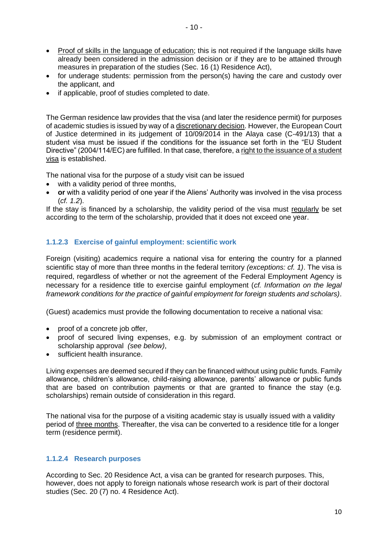- Proof of skills in the language of education; this is not required if the language skills have already been considered in the admission decision or if they are to be attained through measures in preparation of the studies (Sec. 16 (1) Residence Act),
- for underage students: permission from the person(s) having the care and custody over the applicant, and
- if applicable, proof of studies completed to date.

The German residence law provides that the visa (and later the residence permit) for purposes of academic studies is issued by way of a discretionary decision. However, the European Court of Justice determined in its judgement of 10/09/2014 in the Alaya case (C-491/13) that a student visa must be issued if the conditions for the issuance set forth in the "EU Student Directive" (2004/114/EC) are fulfilled. In that case, therefore, a right to the issuance of a student visa is established.

The national visa for the purpose of a study visit can be issued

- with a validity period of three months,
- **or** with a validity period of one year if the Aliens' Authority was involved in the visa process (*cf. 1.2*).

If the stay is financed by a scholarship, the validity period of the visa must regularly be set according to the term of the scholarship, provided that it does not exceed one year.

## <span id="page-9-0"></span>**1.1.2.3 Exercise of gainful employment: scientific work**

Foreign (visiting) academics require a national visa for entering the country for a planned scientific stay of more than three months in the federal territory *(exceptions: cf. 1)*. The visa is required, regardless of whether or not the agreement of the Federal Employment Agency is necessary for a residence title to exercise gainful employment (*cf. Information on the legal framework conditions for the practice of gainful employment for foreign students and scholars)*.

(Guest) academics must provide the following documentation to receive a national visa:

- proof of a concrete job offer,
- proof of secured living expenses, e.g. by submission of an employment contract or scholarship approval *(see below)*,
- sufficient health insurance.

Living expenses are deemed secured if they can be financed without using public funds. Family allowance, children's allowance, child-raising allowance, parents' allowance or public funds that are based on contribution payments or that are granted to finance the stay (e.g. scholarships) remain outside of consideration in this regard.

The national visa for the purpose of a visiting academic stay is usually issued with a validity period of three months. Thereafter, the visa can be converted to a residence title for a longer term (residence permit).

## <span id="page-9-1"></span>**1.1.2.4 Research purposes**

According to Sec. 20 Residence Act, a visa can be granted for research purposes. This, however, does not apply to foreign nationals whose research work is part of their doctoral studies (Sec. 20 (7) no. 4 Residence Act).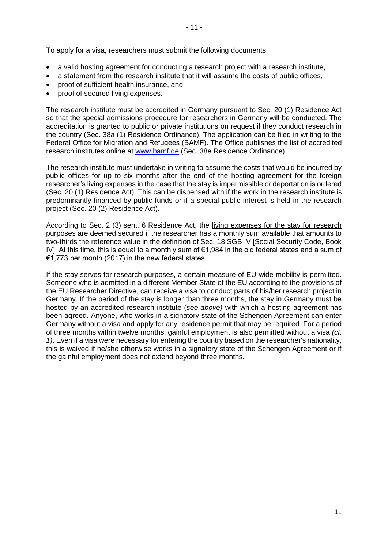To apply for a visa, researchers must submit the following documents:

- a valid hosting agreement for conducting a research project with a research institute,
- a statement from the research institute that it will assume the costs of public offices,
- proof of sufficient health insurance, and
- proof of secured living expenses.

The research institute must be accredited in Germany pursuant to Sec. 20 (1) Residence Act so that the special admissions procedure for researchers in Germany will be conducted. The accreditation is granted to public or private institutions on request if they conduct research in the country (Sec. 38a (1) Residence Ordinance). The application can be filed in writing to the Federal Office for Migration and Refugees (BAMF). The Office publishes the list of accredited research institutes online at [www.bamf.de](http://www.bamf.de/) (Sec. 38e Residence Ordinance).

The research institute must undertake in writing to assume the costs that would be incurred by public offices for up to six months after the end of the hosting agreement for the foreign researcher's living expenses in the case that the stay is impermissible or deportation is ordered (Sec. 20 (1) Residence Act). This can be dispensed with if the work in the research institute is predominantly financed by public funds or if a special public interest is held in the research project (Sec. 20 (2) Residence Act).

According to Sec. 2 (3) sent. 6 Residence Act, the living expenses for the stay for research purposes are deemed secured if the researcher has a monthly sum available that amounts to two-thirds the reference value in the definition of Sec. 18 SGB IV [Social Security Code, Book IV]. At this time, this is equal to a monthly sum of €1,984 in the old federal states and a sum of €1,773 per month (2017) in the new federal states.

If the stay serves for research purposes, a certain measure of EU-wide mobility is permitted. Someone who is admitted in a different Member State of the EU according to the provisions of the EU Researcher Directive, can receive a visa to conduct parts of his/her research project in Germany. If the period of the stay is longer than three months, the stay in Germany must be hosted by an accredited research institute (*see above)* with which a hosting agreement has been agreed. Anyone, who works in a signatory state of the Schengen Agreement can enter Germany without a visa and apply for any residence permit that may be required. For a period of three months within twelve months, gainful employment is also permitted without a visa *(cf. 1)*. Even if a visa were necessary for entering the country based on the researcher's nationality, this is waived if he/she otherwise works in a signatory state of the Schengen Agreement or if the gainful employment does not extend beyond three months.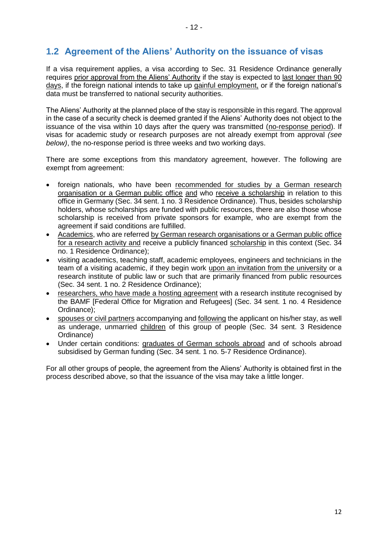## <span id="page-11-0"></span>**1.2 Agreement of the Aliens' Authority on the issuance of visas**

If a visa requirement applies, a visa according to Sec. 31 Residence Ordinance generally requires prior approval from the Aliens' Authority if the stay is expected to last longer than 90 days, if the foreign national intends to take up gainful employment, or if the foreign national's data must be transferred to national security authorities.

The Aliens' Authority at the planned place of the stay is responsible in this regard. The approval in the case of a security check is deemed granted if the Aliens' Authority does not object to the issuance of the visa within 10 days after the query was transmitted (no-response period). If visas for academic study or research purposes are not already exempt from approval *(see below)*, the no-response period is three weeks and two working days.

There are some exceptions from this mandatory agreement, however. The following are exempt from agreement:

- foreign nationals, who have been recommended for studies by a German research organisation or a German public office and who receive a scholarship in relation to this office in Germany (Sec. 34 sent. 1 no. 3 Residence Ordinance). Thus, besides scholarship holders, whose scholarships are funded with public resources, there are also those whose scholarship is received from private sponsors for example, who are exempt from the agreement if said conditions are fulfilled.
- Academics, who are referred by German research organisations or a German public office for a research activity and receive a publicly financed scholarship in this context (Sec. 34 no. 1 Residence Ordinance);
- visiting academics, teaching staff, academic employees, engineers and technicians in the team of a visiting academic, if they begin work upon an invitation from the university or a research institute of public law or such that are primarily financed from public resources (Sec. 34 sent. 1 no. 2 Residence Ordinance);
- researchers, who have made a hosting agreement with a research institute recognised by the BAMF [Federal Office for Migration and Refugees] (Sec. 34 sent. 1 no. 4 Residence Ordinance);
- spouses or civil partners accompanying and following the applicant on his/her stay, as well as underage, unmarried children of this group of people (Sec. 34 sent. 3 Residence Ordinance)
- Under certain conditions: graduates of German schools abroad and of schools abroad subsidised by German funding (Sec. 34 sent. 1 no. 5-7 Residence Ordinance).

For all other groups of people, the agreement from the Aliens' Authority is obtained first in the process described above, so that the issuance of the visa may take a little longer.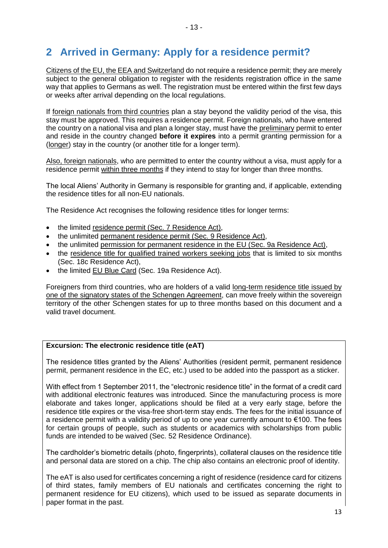# <span id="page-12-0"></span>**2 Arrived in Germany: Apply for a residence permit?**

Citizens of the EU, the EEA and Switzerland do not require a residence permit; they are merely subject to the general obligation to register with the residents registration office in the same way that applies to Germans as well. The registration must be entered within the first few days or weeks after arrival depending on the local regulations.

If foreign nationals from third countries plan a stay beyond the validity period of the visa, this stay must be approved. This requires a residence permit. Foreign nationals, who have entered the country on a national visa and plan a longer stay, must have the preliminary permit to enter and reside in the country changed **before it expires** into a permit granting permission for a (longer) stay in the country (or another title for a longer term).

Also, foreign nationals, who are permitted to enter the country without a visa, must apply for a residence permit within three months if they intend to stay for longer than three months.

The local Aliens' Authority in Germany is responsible for granting and, if applicable, extending the residence titles for all non-EU nationals.

The Residence Act recognises the following residence titles for longer terms:

- the limited residence permit (Sec. 7 Residence Act),
- the unlimited permanent residence permit (Sec. 9 Residence Act),
- the unlimited permission for permanent residence in the EU (Sec. 9a Residence Act),
- the residence title for qualified trained workers seeking jobs that is limited to six months (Sec. 18c Residence Act),
- the limited EU Blue Card (Sec. 19a Residence Act).

Foreigners from third countries, who are holders of a valid long-term residence title issued by one of the signatory states of the Schengen Agreement, can move freely within the sovereign territory of the other Schengen states for up to three months based on this document and a valid travel document.

### **Excursion: The electronic residence title (eAT)**

The residence titles granted by the Aliens' Authorities (resident permit, permanent residence permit, permanent residence in the EC, etc.) used to be added into the passport as a sticker.

With effect from 1 September 2011, the "electronic residence title" in the format of a credit card with additional electronic features was introduced. Since the manufacturing process is more elaborate and takes longer, applications should be filed at a very early stage, before the residence title expires or the visa-free short-term stay ends. The fees for the initial issuance of a residence permit with a validity period of up to one year currently amount to €100. The fees for certain groups of people, such as students or academics with scholarships from public funds are intended to be waived (Sec. 52 Residence Ordinance).

The cardholder's biometric details (photo, fingerprints), collateral clauses on the residence title and personal data are stored on a chip. The chip also contains an electronic proof of identity.

The eAT is also used for certificates concerning a right of residence (residence card for citizens of third states, family members of EU nationals and certificates concerning the right to permanent residence for EU citizens), which used to be issued as separate documents in paper format in the past.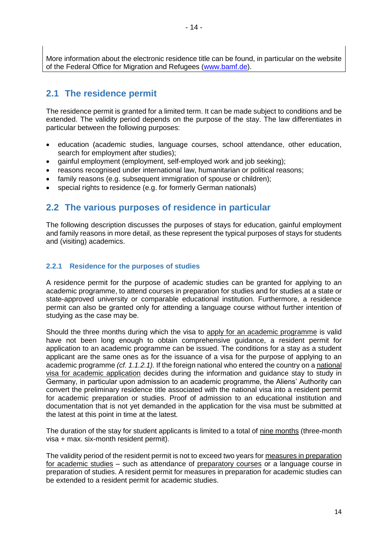More information about the electronic residence title can be found, in particular on the website of the Federal Office for Migration and Refugees [\(www.bamf.de\)](http://www.bamf.de/).

## <span id="page-13-0"></span>**2.1 The residence permit**

The residence permit is granted for a limited term. It can be made subject to conditions and be extended. The validity period depends on the purpose of the stay. The law differentiates in particular between the following purposes:

- education (academic studies, language courses, school attendance, other education, search for employment after studies);
- gainful employment (employment, self-employed work and job seeking);
- reasons recognised under international law, humanitarian or political reasons;
- family reasons (e.g. subsequent immigration of spouse or children);
- special rights to residence (e.g. for formerly German nationals)

## <span id="page-13-1"></span>**2.2 The various purposes of residence in particular**

The following description discusses the purposes of stays for education, gainful employment and family reasons in more detail, as these represent the typical purposes of stays for students and (visiting) academics.

### <span id="page-13-2"></span>**2.2.1 Residence for the purposes of studies**

A residence permit for the purpose of academic studies can be granted for applying to an academic programme, to attend courses in preparation for studies and for studies at a state or state-approved university or comparable educational institution. Furthermore, a residence permit can also be granted only for attending a language course without further intention of studying as the case may be.

Should the three months during which the visa to apply for an academic programme is valid have not been long enough to obtain comprehensive guidance, a resident permit for application to an academic programme can be issued. The conditions for a stay as a student applicant are the same ones as for the issuance of a visa for the purpose of applying to an academic programme *(cf. 1.1.2.1).* If the foreign national who entered the country on a national visa for academic application decides during the information and guidance stay to study in Germany, in particular upon admission to an academic programme, the Aliens' Authority can convert the preliminary residence title associated with the national visa into a resident permit for academic preparation or studies. Proof of admission to an educational institution and documentation that is not yet demanded in the application for the visa must be submitted at the latest at this point in time at the latest*.*

The duration of the stay for student applicants is limited to a total of nine months (three-month visa + max. six-month resident permit).

The validity period of the resident permit is not to exceed two years for measures in preparation for academic studies – such as attendance of preparatory courses or a language course in preparation of studies. A resident permit for measures in preparation for academic studies can be extended to a resident permit for academic studies.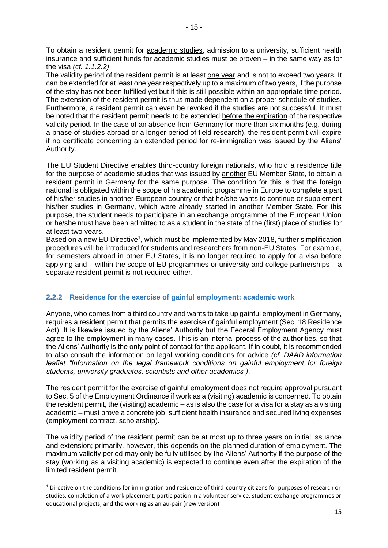To obtain a resident permit for academic studies, admission to a university, sufficient health insurance and sufficient funds for academic studies must be proven – in the same way as for

the visa *(cf. 1.1.2.2)*. The validity period of the resident permit is at least one year and is not to exceed two years. It can be extended for at least one year respectively up to a maximum of two years, if the purpose of the stay has not been fulfilled yet but if this is still possible within an appropriate time period. The extension of the resident permit is thus made dependent on a proper schedule of studies. Furthermore, a resident permit can even be revoked if the studies are not successful. It must be noted that the resident permit needs to be extended before the expiration of the respective validity period. In the case of an absence from Germany for more than six months (e.g. during a phase of studies abroad or a longer period of field research), the resident permit will expire if no certificate concerning an extended period for re-immigration was issued by the Aliens' Authority.

The EU Student Directive enables third-country foreign nationals, who hold a residence title for the purpose of academic studies that was issued by another EU Member State, to obtain a resident permit in Germany for the same purpose. The condition for this is that the foreign national is obligated within the scope of his academic programme in Europe to complete a part of his/her studies in another European country or that he/she wants to continue or supplement his/her studies in Germany, which were already started in another Member State. For this purpose, the student needs to participate in an exchange programme of the European Union or he/she must have been admitted to as a student in the state of the (first) place of studies for at least two years.

Based on a new EU Directive<sup>1</sup>, which must be implemented by May 2018, further simplification procedures will be introduced for students and researchers from non-EU States. For example, for semesters abroad in other EU States, it is no longer required to apply for a visa before applying and – within the scope of EU programmes or university and college partnerships – a separate resident permit is not required either.

## <span id="page-14-0"></span>**2.2.2 Residence for the exercise of gainful employment: academic work**

Anyone, who comes from a third country and wants to take up gainful employment in Germany, requires a resident permit that permits the exercise of gainful employment (Sec. 18 Residence Act). It is likewise issued by the Aliens' Authority but the Federal Employment Agency must agree to the employment in many cases. This is an internal process of the authorities, so that the Aliens' Authority is the only point of contact for the applicant. If in doubt, it is recommended to also consult the information on legal working conditions for advice *(cf. DAAD information leaflet "Information on the legal framework conditions on gainful employment for foreign students, university graduates, scientists and other academics")*.

The resident permit for the exercise of gainful employment does not require approval pursuant to Sec. 5 of the Employment Ordinance if work as a (visiting) academic is concerned. To obtain the resident permit, the (visiting) academic – as is also the case for a visa for a stay as a visiting academic – must prove a concrete job, sufficient health insurance and secured living expenses (employment contract, scholarship).

The validity period of the resident permit can be at most up to three years on initial issuance and extension; primarily, however, this depends on the planned duration of employment. The maximum validity period may only be fully utilised by the Aliens' Authority if the purpose of the stay (working as a visiting academic) is expected to continue even after the expiration of the limited resident permit.

**.** 

 $1$  Directive on the conditions for immigration and residence of third-country citizens for purposes of research or studies, completion of a work placement, participation in a volunteer service, student exchange programmes or educational projects, and the working as an au-pair (new version)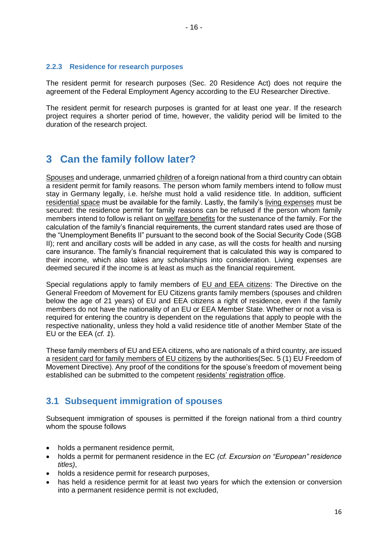### <span id="page-15-0"></span>**2.2.3 Residence for research purposes**

The resident permit for research purposes (Sec. 20 Residence Act) does not require the agreement of the Federal Employment Agency according to the EU Researcher Directive.

The resident permit for research purposes is granted for at least one year. If the research project requires a shorter period of time, however, the validity period will be limited to the duration of the research project.

## <span id="page-15-1"></span>**3 Can the family follow later?**

Spouses and underage, unmarried children of a foreign national from a third country can obtain a resident permit for family reasons. The person whom family members intend to follow must stay in Germany legally, i.e. he/she must hold a valid residence title. In addition, sufficient residential space must be available for the family. Lastly, the family's living expenses must be secured: the residence permit for family reasons can be refused if the person whom family members intend to follow is reliant on welfare benefits for the sustenance of the family. For the calculation of the family's financial requirements, the current standard rates used are those of the "Unemployment Benefits II" pursuant to the second book of the Social Security Code (SGB II); rent and ancillary costs will be added in any case, as will the costs for health and nursing care insurance. The family's financial requirement that is calculated this way is compared to their income, which also takes any scholarships into consideration. Living expenses are deemed secured if the income is at least as much as the financial requirement.

Special regulations apply to family members of EU and EEA citizens: The Directive on the General Freedom of Movement for EU Citizens grants family members (spouses and children below the age of 21 years) of EU and EEA citizens a right of residence, even if the family members do not have the nationality of an EU or EEA Member State. Whether or not a visa is required for entering the country is dependent on the regulations that apply to people with the respective nationality, unless they hold a valid residence title of another Member State of the EU or the EEA (*cf. 1*).

These family members of EU and EEA citizens, who are nationals of a third country, are issued a resident card for family members of EU citizens by the authorities(Sec. 5 (1) EU Freedom of Movement Directive). Any proof of the conditions for the spouse's freedom of movement being established can be submitted to the competent residents' registration office.

## <span id="page-15-2"></span>**3.1 Subsequent immigration of spouses**

Subsequent immigration of spouses is permitted if the foreign national from a third country whom the spouse follows

- holds a permanent residence permit.
- holds a permit for permanent residence in the EC *(cf. Excursion on "European" residence titles)*,
- holds a residence permit for research purposes,
- has held a residence permit for at least two years for which the extension or conversion into a permanent residence permit is not excluded,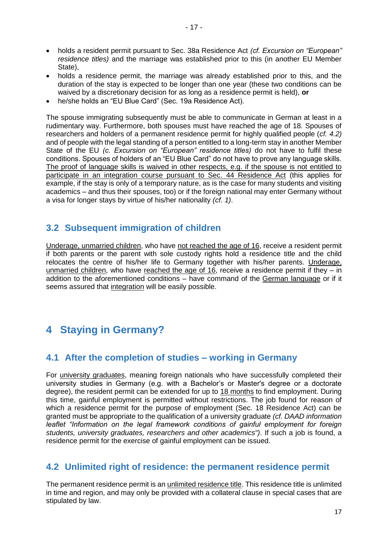- holds a resident permit pursuant to Sec. 38a Residence Act *(cf. Excursion on "European" residence titles)* and the marriage was established prior to this (in another EU Member State),
- holds a residence permit, the marriage was already established prior to this, and the duration of the stay is expected to be longer than one year (these two conditions can be waived by a discretionary decision for as long as a residence permit is held), **or**
- he/she holds an "EU Blue Card" (Sec. 19a Residence Act).

The spouse immigrating subsequently must be able to communicate in German at least in a rudimentary way. Furthermore, both spouses must have reached the age of 18. Spouses of researchers and holders of a permanent residence permit for highly qualified people (*cf. 4.2)* and of people with the legal standing of a person entitled to a long-term stay in another Member State of the EU *(c. Excursion on "European" residence titles)* do not have to fulfil these conditions. Spouses of holders of an "EU Blue Card" do not have to prove any language skills. The proof of language skills is waived in other respects, e.g. if the spouse is not entitled to participate in an integration course pursuant to Sec. 44 Residence Act (this applies for example, if the stay is only of a temporary nature, as is the case for many students and visiting academics – and thus their spouses, too) or if the foreign national may enter Germany without a visa for longer stays by virtue of his/her nationality *(cf. 1)*.

## <span id="page-16-0"></span>**3.2 Subsequent immigration of children**

Underage, unmarried children, who have not reached the age of 16, receive a resident permit if both parents or the parent with sole custody rights hold a residence title and the child relocates the centre of his/her life to Germany together with his/her parents. Underage, unmarried children, who have reached the age of 16, receive a residence permit if they – in addition to the aforementioned conditions – have command of the German language or if it seems assured that integration will be easily possible.

# <span id="page-16-1"></span>**4 Staying in Germany?**

## <span id="page-16-2"></span>**4.1 After the completion of studies – working in Germany**

For university graduates, meaning foreign nationals who have successfully completed their university studies in Germany (e.g. with a Bachelor's or Master's degree or a doctorate degree), the resident permit can be extended for up to 18 months to find employment. During this time, gainful employment is permitted without restrictions. The job found for reason of which a residence permit for the purpose of employment (Sec. 18 Residence Act) can be granted must be appropriate to the qualification of a university graduate *(cf. DAAD information leaflet "Information on the legal framework conditions of gainful employment for foreign students, university graduates, researchers and other academics")*. If such a job is found, a residence permit for the exercise of gainful employment can be issued.

## <span id="page-16-3"></span>**4.2 Unlimited right of residence: the permanent residence permit**

The permanent residence permit is an unlimited residence title. This residence title is unlimited in time and region, and may only be provided with a collateral clause in special cases that are stipulated by law.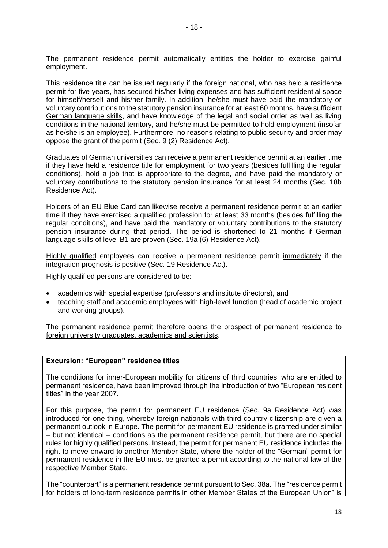The permanent residence permit automatically entitles the holder to exercise gainful employment.

This residence title can be issued regularly if the foreign national, who has held a residence permit for five years, has secured his/her living expenses and has sufficient residential space for himself/herself and his/her family. In addition, he/she must have paid the mandatory or voluntary contributions to the statutory pension insurance for at least 60 months, have sufficient German language skills, and have knowledge of the legal and social order as well as living conditions in the national territory, and he/she must be permitted to hold employment (insofar as he/she is an employee). Furthermore, no reasons relating to public security and order may oppose the grant of the permit (Sec. 9 (2) Residence Act).

Graduates of German universities can receive a permanent residence permit at an earlier time if they have held a residence title for employment for two years (besides fulfilling the regular conditions), hold a job that is appropriate to the degree, and have paid the mandatory or voluntary contributions to the statutory pension insurance for at least 24 months (Sec. 18b Residence Act).

Holders of an EU Blue Card can likewise receive a permanent residence permit at an earlier time if they have exercised a qualified profession for at least 33 months (besides fulfilling the regular conditions), and have paid the mandatory or voluntary contributions to the statutory pension insurance during that period. The period is shortened to 21 months if German language skills of level B1 are proven (Sec. 19a (6) Residence Act).

Highly qualified employees can receive a permanent residence permit immediately if the integration prognosis is positive (Sec. 19 Residence Act).

Highly qualified persons are considered to be:

- academics with special expertise (professors and institute directors), and
- teaching staff and academic employees with high-level function (head of academic project and working groups).

The permanent residence permit therefore opens the prospect of permanent residence to foreign university graduates, academics and scientists.

### **Excursion: "European" residence titles**

The conditions for inner-European mobility for citizens of third countries, who are entitled to permanent residence, have been improved through the introduction of two "European resident titles" in the year 2007.

For this purpose, the permit for permanent EU residence (Sec. 9a Residence Act) was introduced for one thing, whereby foreign nationals with third-country citizenship are given a permanent outlook in Europe. The permit for permanent EU residence is granted under similar – but not identical – conditions as the permanent residence permit, but there are no special rules for highly qualified persons. Instead, the permit for permanent EU residence includes the right to move onward to another Member State, where the holder of the "German" permit for permanent residence in the EU must be granted a permit according to the national law of the respective Member State.

The "counterpart" is a permanent residence permit pursuant to Sec. 38a. The "residence permit for holders of long-term residence permits in other Member States of the European Union" is